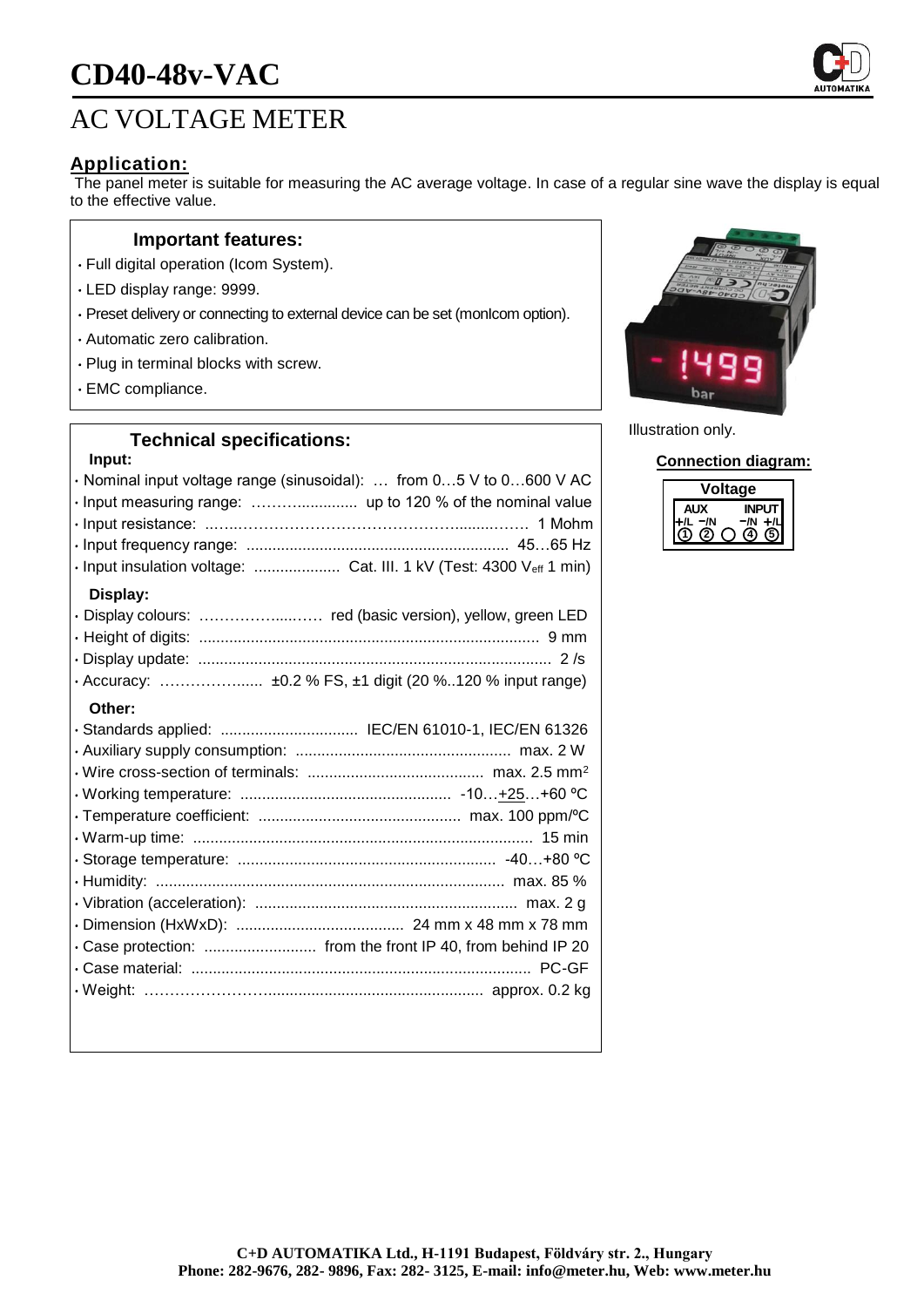# **CD40-48v-VAC**

## AC VOLTAGE METER

## **Application:**

The panel meter is suitable for measuring the AC average voltage. In case of a regular sine wave the display is equal to the effective value.

#### **Important features:**

- Full digital operation (Icom System).
- LED display range: 9999.
- Preset delivery or connecting to external device can be set (monIcom option).
- Automatic zero calibration.
- Plug in terminal blocks with screw.
- EMC compliance.

#### **Technical specifications:**

## **Input:** • Nominal input voltage range (sinusoidal): … from 0…5 V to 0…600 V AC • Input measuring range: ……….............. up to 120 % of the nominal value • Input resistance: ..…..…………………………………….........……. 1 Mohm • Input frequency range: ............................................................. 45…65 Hz • Input insulation voltage: .................... Cat. III. 1 kV (Test: 4300 Veff 1 min) **Display:** • Display colours: ……………....…… red (basic version), yellow, green LED • Height of digits: ............................................................................... 9 mm • Display update: .................................................................................. 2 /s • Accuracy: ……………...... ±0.2 % FS, ±1 digit (20 %..120 % input range) **Other:** • Standards applied: ................................ IEC/EN 61010-1, IEC/EN 61326 • Auxiliary supply consumption: .................................................. max. 2 W • Wire cross-section of terminals: ......................................... max. 2.5 mm<sup>2</sup> • Working temperature: ................................................. -10…+25…+60 ºC • Temperature coefficient: ............................................... max. 100 ppm/ºC • Warm-up time: ............................................................................... 15 min • Storage temperature: ............................................................ -40…+80 ºC • Humidity: ................................................................................. max. 85 % • Vibration (acceleration): ............................................................. max. 2 g • Dimension (HxWxD): ....................................... 24 mm x 48 mm x 78 mm • Case protection: .......................... from the front IP 40, from behind IP 20 • Case material: ............................................................................... PC-GF • Weight: …………………….................................................. approx. 0.2 kg



Illustration only.

**Connection diagram:**